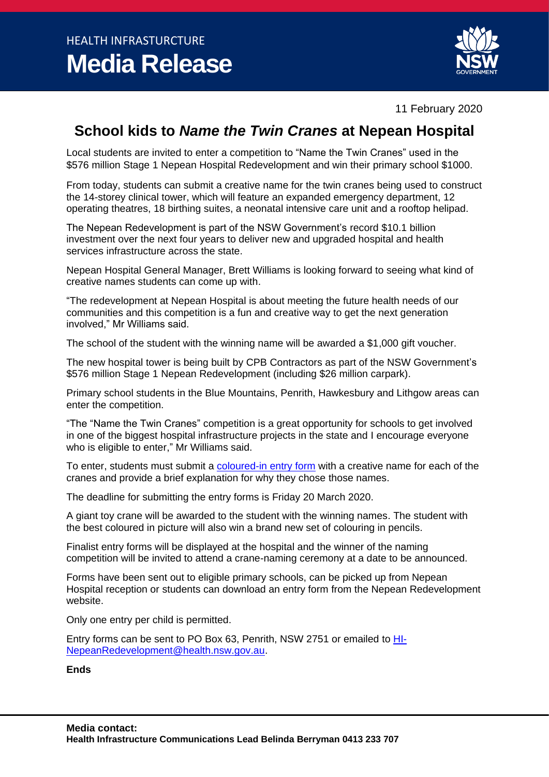

11 February 2020

## **School kids to** *Name the Twin Cranes* **at Nepean Hospital**

Local students are invited to enter a competition to "Name the Twin Cranes" used in the \$576 million Stage 1 Nepean Hospital Redevelopment and win their primary school \$1000.

From today, students can submit a creative name for the twin cranes being used to construct the 14-storey clinical tower, which will feature an expanded emergency department, 12 operating theatres, 18 birthing suites, a neonatal intensive care unit and a rooftop helipad.

The Nepean Redevelopment is part of the NSW Government's record \$10.1 billion investment over the next four years to deliver new and upgraded hospital and health services infrastructure across the state.

Nepean Hospital General Manager, Brett Williams is looking forward to seeing what kind of creative names students can come up with.

"The redevelopment at Nepean Hospital is about meeting the future health needs of our communities and this competition is a fun and creative way to get the next generation involved," Mr Williams said.

The school of the student with the winning name will be awarded a \$1,000 gift voucher.

The new hospital tower is being built by CPB Contractors as part of the NSW Government's \$576 million Stage 1 Nepean Redevelopment (including \$26 million carpark).

Primary school students in the Blue Mountains, Penrith, Hawkesbury and Lithgow areas can enter the competition.

"The "Name the Twin Cranes" competition is a great opportunity for schools to get involved in one of the biggest hospital infrastructure projects in the state and I encourage everyone who is eligible to enter," Mr Williams said.

To enter, students must submit a [coloured-in entry form](http://www.nepeanredevelopment.health.nsw.gov.au/WWW_Nepean/media/Media/Project%20documents/Name-the-Crane-colouring-in-form-2020.pdf) with a creative name for each of the cranes and provide a brief explanation for why they chose those names.

The deadline for submitting the entry forms is Friday 20 March 2020.

A giant toy crane will be awarded to the student with the winning names. The student with the best coloured in picture will also win a brand new set of colouring in pencils.

Finalist entry forms will be displayed at the hospital and the winner of the naming competition will be invited to attend a crane-naming ceremony at a date to be announced.

Forms have been sent out to eligible primary schools, can be picked up from Nepean Hospital reception or students can download an entry form from the Nepean Redevelopment website.

Only one entry per child is permitted.

Entry forms can be sent to PO Box 63, Penrith, NSW 2751 or emailed to [HI-](mailto:HI-NepeanRedevelopment@health.nsw.gov.au)[NepeanRedevelopment@health.nsw.gov.au.](mailto:HI-NepeanRedevelopment@health.nsw.gov.au)

**Ends**